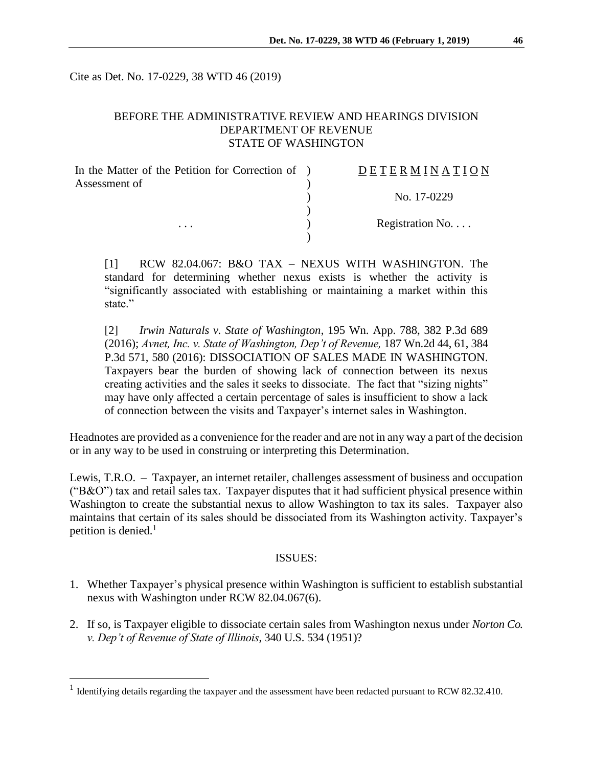Cite as Det. No. 17-0229, 38 WTD 46 (2019)

## BEFORE THE ADMINISTRATIVE REVIEW AND HEARINGS DIVISION DEPARTMENT OF REVENUE STATE OF WASHINGTON

| In the Matter of the Petition for Correction of ) | DETERMINATION   |
|---------------------------------------------------|-----------------|
| Assessment of                                     |                 |
|                                                   | No. 17-0229     |
|                                                   |                 |
| $\cdots$                                          | Registration No |
|                                                   |                 |

[1] RCW 82.04.067: B&O TAX – NEXUS WITH WASHINGTON. The standard for determining whether nexus exists is whether the activity is "significantly associated with establishing or maintaining a market within this state."

[2] *Irwin Naturals v. State of Washington*, 195 Wn. App. 788, 382 P.3d 689 (2016); *Avnet, Inc. v. State of Washington, Dep't of Revenue,* 187 Wn.2d 44, 61, 384 P.3d 571, 580 (2016): DISSOCIATION OF SALES MADE IN WASHINGTON. Taxpayers bear the burden of showing lack of connection between its nexus creating activities and the sales it seeks to dissociate. The fact that "sizing nights" may have only affected a certain percentage of sales is insufficient to show a lack of connection between the visits and Taxpayer's internet sales in Washington.

Headnotes are provided as a convenience for the reader and are not in any way a part of the decision or in any way to be used in construing or interpreting this Determination.

Lewis, T.R.O. – Taxpayer, an internet retailer, challenges assessment of business and occupation ("B&O") tax and retail sales tax. Taxpayer disputes that it had sufficient physical presence within Washington to create the substantial nexus to allow Washington to tax its sales. Taxpayer also maintains that certain of its sales should be dissociated from its Washington activity. Taxpayer's petition is denied. $<sup>1</sup>$ </sup>

#### ISSUES:

- 1. Whether Taxpayer's physical presence within Washington is sufficient to establish substantial nexus with Washington under RCW 82.04.067(6).
- 2. If so, is Taxpayer eligible to dissociate certain sales from Washington nexus under *Norton Co. v. Dep't of Revenue of State of Illinois*, 340 U.S. 534 (1951)?

<sup>&</sup>lt;sup>1</sup> Identifying details regarding the taxpayer and the assessment have been redacted pursuant to RCW 82.32.410.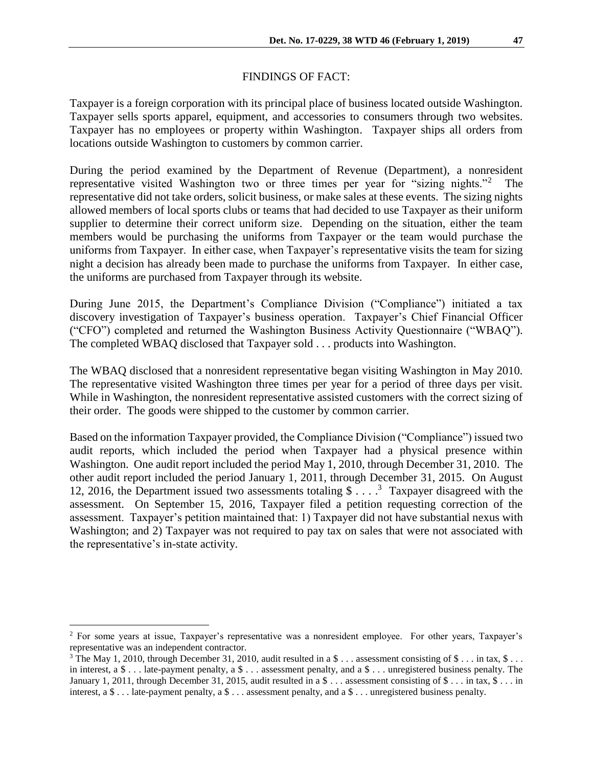### FINDINGS OF FACT:

Taxpayer is a foreign corporation with its principal place of business located outside Washington. Taxpayer sells sports apparel, equipment, and accessories to consumers through two websites. Taxpayer has no employees or property within Washington. Taxpayer ships all orders from locations outside Washington to customers by common carrier.

During the period examined by the Department of Revenue (Department), a nonresident representative visited Washington two or three times per year for "sizing nights."<sup>2</sup> The representative did not take orders, solicit business, or make sales at these events. The sizing nights allowed members of local sports clubs or teams that had decided to use Taxpayer as their uniform supplier to determine their correct uniform size. Depending on the situation, either the team members would be purchasing the uniforms from Taxpayer or the team would purchase the uniforms from Taxpayer. In either case, when Taxpayer's representative visits the team for sizing night a decision has already been made to purchase the uniforms from Taxpayer. In either case, the uniforms are purchased from Taxpayer through its website.

During June 2015, the Department's Compliance Division ("Compliance") initiated a tax discovery investigation of Taxpayer's business operation. Taxpayer's Chief Financial Officer ("CFO") completed and returned the Washington Business Activity Questionnaire ("WBAQ"). The completed WBAQ disclosed that Taxpayer sold . . . products into Washington.

The WBAQ disclosed that a nonresident representative began visiting Washington in May 2010. The representative visited Washington three times per year for a period of three days per visit. While in Washington, the nonresident representative assisted customers with the correct sizing of their order. The goods were shipped to the customer by common carrier.

Based on the information Taxpayer provided, the Compliance Division ("Compliance") issued two audit reports, which included the period when Taxpayer had a physical presence within Washington. One audit report included the period May 1, 2010, through December 31, 2010. The other audit report included the period January 1, 2011, through December 31, 2015. On August 12, 2016, the Department issued two assessments totaling  $\$\dots$ <sup>3</sup> Taxpayer disagreed with the assessment. On September 15, 2016, Taxpayer filed a petition requesting correction of the assessment. Taxpayer's petition maintained that: 1) Taxpayer did not have substantial nexus with Washington; and 2) Taxpayer was not required to pay tax on sales that were not associated with the representative's in-state activity.

<sup>2</sup> For some years at issue, Taxpayer's representative was a nonresident employee. For other years, Taxpayer's representative was an independent contractor.

<sup>&</sup>lt;sup>3</sup> The May 1, 2010, through December 31, 2010, audit resulted in a \$ . . . assessment consisting of \$ . . . in tax, \$ . . . in interest, a  $\frac{1}{2}$ ... late-payment penalty, a  $\frac{1}{2}$ ... assessment penalty, and a  $\frac{1}{2}$ ... unregistered business penalty. The January 1, 2011, through December 31, 2015, audit resulted in a  $\frac{1}{2}$ ... assessment consisting of  $\frac{1}{2}$ ... in tax,  $\frac{1}{2}$ ... in interest, a \$ . . . late-payment penalty, a \$ . . . assessment penalty, and a \$ . . . unregistered business penalty.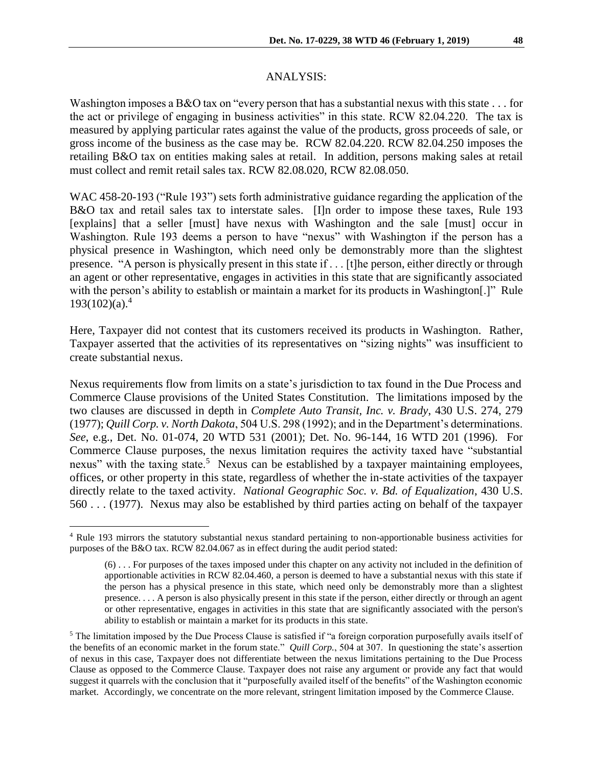#### ANALYSIS:

Washington imposes a B&O tax on "every person that has a substantial nexus with this state . . . for the act or privilege of engaging in business activities" in this state. RCW 82.04.220. The tax is measured by applying particular rates against the value of the products, gross proceeds of sale, or gross income of the business as the case may be. RCW 82.04.220. RCW 82.04.250 imposes the retailing B&O tax on entities making sales at retail. In addition, persons making sales at retail must collect and remit retail sales tax. RCW 82.08.020, RCW 82.08.050.

WAC 458-20-193 ("Rule 193") sets forth administrative guidance regarding the application of the B&O tax and retail sales tax to interstate sales. [I]n order to impose these taxes, Rule 193 [explains] that a seller [must] have nexus with Washington and the sale [must] occur in Washington. Rule 193 deems a person to have "nexus" with Washington if the person has a physical presence in Washington, which need only be demonstrably more than the slightest presence. "A person is physically present in this state if . . . [t]he person, either directly or through an agent or other representative, engages in activities in this state that are significantly associated with the person's ability to establish or maintain a market for its products in Washington[.]" Rule  $193(102)(a)^4$ 

Here, Taxpayer did not contest that its customers received its products in Washington. Rather, Taxpayer asserted that the activities of its representatives on "sizing nights" was insufficient to create substantial nexus.

Nexus requirements flow from limits on a state's jurisdiction to tax found in the Due Process and Commerce Clause provisions of the United States Constitution. The limitations imposed by the two clauses are discussed in depth in *Complete Auto Transit, Inc. v. Brady*, 430 U.S. 274, 279 (1977); *Quill Corp. v. North Dakota*, 504 U.S. 298 (1992); and in the Department's determinations. *See*, e.g., Det. No. 01-074, 20 WTD 531 (2001); Det. No. 96-144, 16 WTD 201 (1996). For Commerce Clause purposes, the nexus limitation requires the activity taxed have "substantial nexus" with the taxing state.<sup>5</sup> Nexus can be established by a taxpayer maintaining employees, offices, or other property in this state, regardless of whether the in-state activities of the taxpayer directly relate to the taxed activity. *National Geographic Soc. v. Bd. of Equalization*, 430 U.S. 560 . . . (1977). Nexus may also be established by third parties acting on behalf of the taxpayer

<sup>4</sup> Rule 193 mirrors the statutory substantial nexus standard pertaining to non-apportionable business activities for purposes of the B&O tax. RCW 82.04.067 as in effect during the audit period stated:

<sup>(6) . . .</sup> For purposes of the taxes imposed under this chapter on any activity not included in the definition of apportionable activities in RCW 82.04.460, a person is deemed to have a substantial nexus with this state if the person has a physical presence in this state, which need only be demonstrably more than a slightest presence. . . . A person is also physically present in this state if the person, either directly or through an agent or other representative, engages in activities in this state that are significantly associated with the person's ability to establish or maintain a market for its products in this state.

<sup>&</sup>lt;sup>5</sup> The limitation imposed by the Due Process Clause is satisfied if "a foreign corporation purposefully avails itself of the benefits of an economic market in the forum state." *Quill Corp.*, 504 at 307. In questioning the state's assertion of nexus in this case, Taxpayer does not differentiate between the nexus limitations pertaining to the Due Process Clause as opposed to the Commerce Clause. Taxpayer does not raise any argument or provide any fact that would suggest it quarrels with the conclusion that it "purposefully availed itself of the benefits" of the Washington economic market. Accordingly, we concentrate on the more relevant, stringent limitation imposed by the Commerce Clause.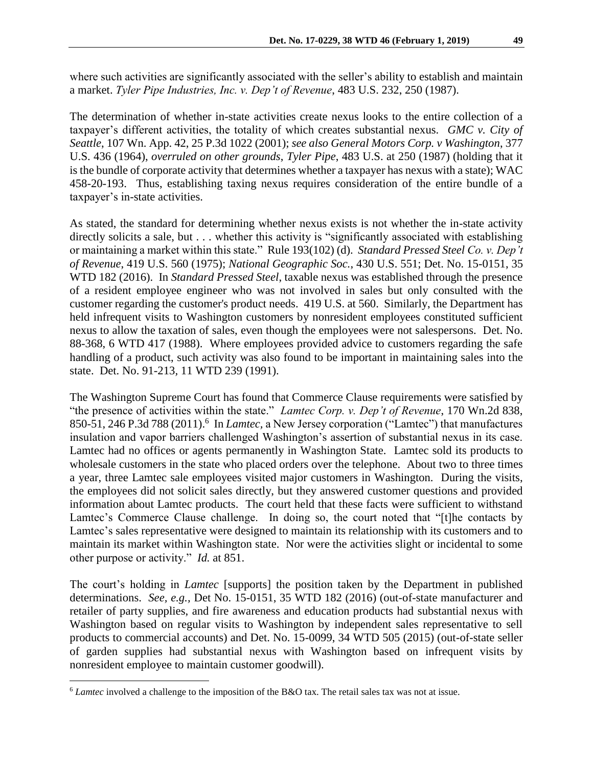where such activities are significantly associated with the seller's ability to establish and maintain a market. *Tyler Pipe Industries, Inc. v. Dep't of Revenue*, 483 U.S. 232, 250 (1987).

The determination of whether in-state activities create nexus looks to the entire collection of a taxpayer's different activities, the totality of which creates substantial nexus. *GMC v. City of Seattle*, 107 Wn. App. 42, 25 P.3d 1022 (2001); *see also General Motors Corp. v Washington*, 377 U.S. 436 (1964), *overruled on other grounds*, *Tyler Pipe*, 483 U.S. at 250 (1987) (holding that it is the bundle of corporate activity that determines whether a taxpayer has nexus with a state); WAC 458-20-193. Thus, establishing taxing nexus requires consideration of the entire bundle of a taxpayer's in-state activities.

As stated, the standard for determining whether nexus exists is not whether the in-state activity directly solicits a sale, but . . . whether this activity is "significantly associated with establishing or maintaining a market within this state." Rule 193(102) (d). *Standard Pressed Steel Co. v. Dep't of Revenue*, 419 U.S. 560 (1975); *National Geographic Soc.*, 430 U.S. 551; Det. No. 15-0151, 35 WTD 182 (2016). In *Standard Pressed Steel*, taxable nexus was established through the presence of a resident employee engineer who was not involved in sales but only consulted with the customer regarding the customer's product needs. 419 U.S. at 560. Similarly, the Department has held infrequent visits to Washington customers by nonresident employees constituted sufficient nexus to allow the taxation of sales, even though the employees were not salespersons. Det. No. 88-368, 6 WTD 417 (1988). Where employees provided advice to customers regarding the safe handling of a product, such activity was also found to be important in maintaining sales into the state. Det. No. 91-213*,* 11 WTD 239 (1991).

The Washington Supreme Court has found that Commerce Clause requirements were satisfied by "the presence of activities within the state." *Lamtec Corp. v. Dep't of Revenue*, 170 Wn.2d 838, 850-51, 246 P.3d 788 (2011). 6 In *Lamtec,* a New Jersey corporation ("Lamtec") that manufactures insulation and vapor barriers challenged Washington's assertion of substantial nexus in its case. Lamtec had no offices or agents permanently in Washington State. Lamtec sold its products to wholesale customers in the state who placed orders over the telephone. About two to three times a year, three Lamtec sale employees visited major customers in Washington. During the visits, the employees did not solicit sales directly, but they answered customer questions and provided information about Lamtec products. The court held that these facts were sufficient to withstand Lamtec's Commerce Clause challenge. In doing so, the court noted that "[t]he contacts by Lamtec's sales representative were designed to maintain its relationship with its customers and to maintain its market within Washington state. Nor were the activities slight or incidental to some other purpose or activity." *Id.* at 851.

The court's holding in *Lamtec* [supports] the position taken by the Department in published determinations. *See, e.g.,* Det No. 15-0151, 35 WTD 182 (2016) (out-of-state manufacturer and retailer of party supplies, and fire awareness and education products had substantial nexus with Washington based on regular visits to Washington by independent sales representative to sell products to commercial accounts) and Det. No. 15-0099, 34 WTD 505 (2015) (out-of-state seller of garden supplies had substantial nexus with Washington based on infrequent visits by nonresident employee to maintain customer goodwill).

<sup>6</sup> *Lamtec* involved a challenge to the imposition of the B&O tax. The retail sales tax was not at issue.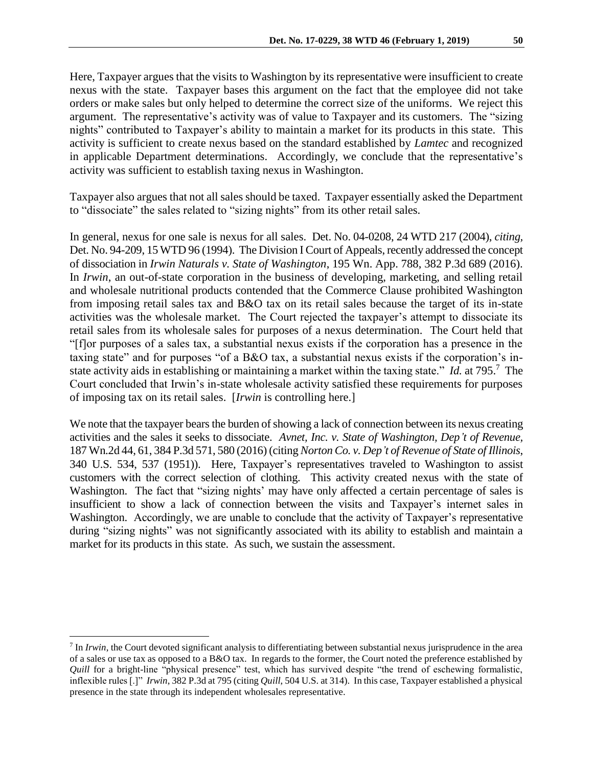Here, Taxpayer argues that the visits to Washington by its representative were insufficient to create nexus with the state. Taxpayer bases this argument on the fact that the employee did not take orders or make sales but only helped to determine the correct size of the uniforms. We reject this argument. The representative's activity was of value to Taxpayer and its customers. The "sizing nights" contributed to Taxpayer's ability to maintain a market for its products in this state. This activity is sufficient to create nexus based on the standard established by *Lamtec* and recognized in applicable Department determinations. Accordingly, we conclude that the representative's activity was sufficient to establish taxing nexus in Washington.

Taxpayer also argues that not all sales should be taxed. Taxpayer essentially asked the Department to "dissociate" the sales related to "sizing nights" from its other retail sales.

In general, nexus for one sale is nexus for all sales. Det. No. 04-0208, 24 WTD 217 (2004), *citing,* Det. No. 94-209, 15 WTD 96 (1994). The Division I Court of Appeals, recently addressed the concept of dissociation in *Irwin Naturals v. State of Washington*, 195 Wn. App. 788, 382 P.3d 689 (2016). In *Irwin*, an out-of-state corporation in the business of developing, marketing, and selling retail and wholesale nutritional products contended that the Commerce Clause prohibited Washington from imposing retail sales tax and B&O tax on its retail sales because the target of its in-state activities was the wholesale market. The Court rejected the taxpayer's attempt to dissociate its retail sales from its wholesale sales for purposes of a nexus determination. The Court held that "[f]or purposes of a sales tax, a substantial nexus exists if the corporation has a presence in the taxing state" and for purposes "of a B&O tax, a substantial nexus exists if the corporation's instate activity aids in establishing or maintaining a market within the taxing state." *Id.* at 795.<sup>7</sup> The Court concluded that Irwin's in-state wholesale activity satisfied these requirements for purposes of imposing tax on its retail sales. [*Irwin* is controlling here.]

We note that the taxpayer bears the burden of showing a lack of connection between its nexus creating activities and the sales it seeks to dissociate. *Avnet, Inc. v. State of Washington, Dep't of Revenue,* 187 Wn.2d 44, 61, 384 P.3d 571, 580 (2016) (citing *Norton Co. v. Dep't of Revenue of State of Illinois*, 340 U.S. 534, 537 (1951)). Here, Taxpayer's representatives traveled to Washington to assist customers with the correct selection of clothing. This activity created nexus with the state of Washington. The fact that "sizing nights' may have only affected a certain percentage of sales is insufficient to show a lack of connection between the visits and Taxpayer's internet sales in Washington. Accordingly, we are unable to conclude that the activity of Taxpayer's representative during "sizing nights" was not significantly associated with its ability to establish and maintain a market for its products in this state. As such, we sustain the assessment.

<sup>7</sup> In *Irwin*, the Court devoted significant analysis to differentiating between substantial nexus jurisprudence in the area of a sales or use tax as opposed to a B&O tax. In regards to the former, the Court noted the preference established by *Quill* for a bright-line "physical presence" test, which has survived despite "the trend of eschewing formalistic, inflexible rules [.]" *Irwin*, 382 P.3d at 795 (citing *Quill*, 504 U.S. at 314). In this case, Taxpayer established a physical presence in the state through its independent wholesales representative.